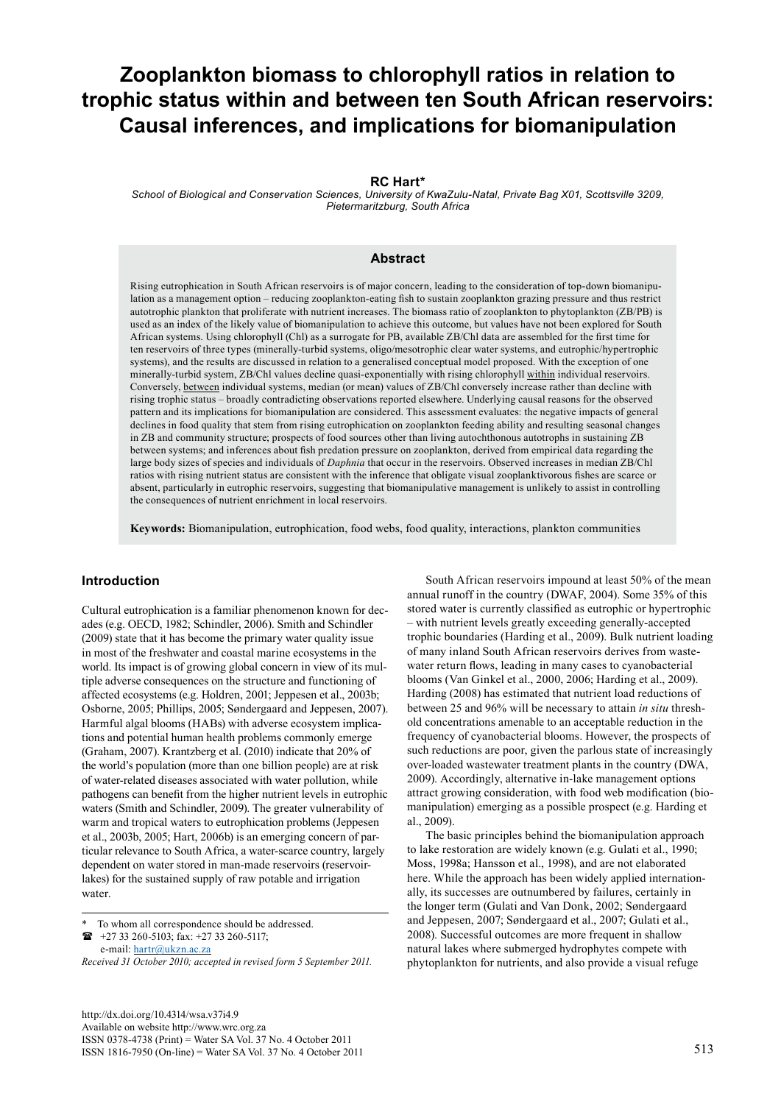# **Zooplankton biomass to chlorophyll ratios in relation to trophic status within and between ten South African reservoirs: Causal inferences, and implications for biomanipulation**

**RC Hart\***

*School of Biological and Conservation Sciences, University of KwaZulu-Natal, Private Bag X01, Scottsville 3209, Pietermaritzburg, South Africa*

# **Abstract**

Rising eutrophication in South African reservoirs is of major concern, leading to the consideration of top-down biomanipulation as a management option – reducing zooplankton-eating fish to sustain zooplankton grazing pressure and thus restrict autotrophic plankton that proliferate with nutrient increases. The biomass ratio of zooplankton to phytoplankton (ZB/PB) is used as an index of the likely value of biomanipulation to achieve this outcome, but values have not been explored for South African systems. Using chlorophyll (Chl) as a surrogate for PB, available ZB/Chl data are assembled for the first time for ten reservoirs of three types (minerally-turbid systems, oligo/mesotrophic clear water systems, and eutrophic/hypertrophic systems), and the results are discussed in relation to a generalised conceptual model proposed. With the exception of one minerally-turbid system, ZB/Chl values decline quasi-exponentially with rising chlorophyll within individual reservoirs. Conversely, between individual systems, median (or mean) values of ZB/Chl conversely increase rather than decline with rising trophic status – broadly contradicting observations reported elsewhere. Underlying causal reasons for the observed pattern and its implications for biomanipulation are considered. This assessment evaluates: the negative impacts of general declines in food quality that stem from rising eutrophication on zooplankton feeding ability and resulting seasonal changes in ZB and community structure; prospects of food sources other than living autochthonous autotrophs in sustaining ZB between systems; and inferences about fish predation pressure on zooplankton, derived from empirical data regarding the large body sizes of species and individuals of *Daphnia* that occur in the reservoirs. Observed increases in median ZB/Chl ratios with rising nutrient status are consistent with the inference that obligate visual zooplanktivorous fishes are scarce or absent, particularly in eutrophic reservoirs, suggesting that biomanipulative management is unlikely to assist in controlling the consequences of nutrient enrichment in local reservoirs.

**Keywords:** Biomanipulation, eutrophication, food webs, food quality, interactions, plankton communities

## **Introduction**

Cultural eutrophication is a familiar phenomenon known for decades (e.g. OECD, 1982; Schindler, 2006). Smith and Schindler (2009) state that it has become the primary water quality issue in most of the freshwater and coastal marine ecosystems in the world. Its impact is of growing global concern in view of its multiple adverse consequences on the structure and functioning of affected ecosystems (e.g. Holdren, 2001; Jeppesen et al., 2003b; Osborne, 2005; Phillips, 2005; Søndergaard and Jeppesen, 2007). Harmful algal blooms (HABs) with adverse ecosystem implications and potential human health problems commonly emerge (Graham, 2007). Krantzberg et al. (2010) indicate that 20% of the world's population (more than one billion people) are at risk of water-related diseases associated with water pollution, while pathogens can benefit from the higher nutrient levels in eutrophic waters (Smith and Schindler, 2009). The greater vulnerability of warm and tropical waters to eutrophication problems (Jeppesen et al., 2003b, 2005; Hart, 2006b) is an emerging concern of particular relevance to South Africa, a water-scarce country, largely dependent on water stored in man-made reservoirs (reservoirlakes) for the sustained supply of raw potable and irrigation water.

 +27 33 260-5103; fax: +27 33 260-5117; e-mail: [hartr@ukzn.ac.za](mailto:hartr@ukzn.ac.za) 

South African reservoirs impound at least 50% of the mean annual runoff in the country (DWAF, 2004). Some 35% of this stored water is currently classified as eutrophic or hypertrophic – with nutrient levels greatly exceeding generally-accepted trophic boundaries (Harding et al., 2009). Bulk nutrient loading of many inland South African reservoirs derives from wastewater return flows, leading in many cases to cyanobacterial blooms (Van Ginkel et al., 2000, 2006; Harding et al., 2009). Harding (2008) has estimated that nutrient load reductions of between 25 and 96% will be necessary to attain *in situ* threshold concentrations amenable to an acceptable reduction in the frequency of cyanobacterial blooms. However, the prospects of such reductions are poor, given the parlous state of increasingly over-loaded wastewater treatment plants in the country (DWA, 2009). Accordingly, alternative in-lake management options attract growing consideration, with food web modification (biomanipulation) emerging as a possible prospect (e.g. Harding et al., 2009).

The basic principles behind the biomanipulation approach to lake restoration are widely known (e.g. Gulati et al., 1990; Moss, 1998a; Hansson et al., 1998), and are not elaborated here. While the approach has been widely applied internationally, its successes are outnumbered by failures, certainly in the longer term (Gulati and Van Donk, 2002; Søndergaard and Jeppesen, 2007; Søndergaard et al., 2007; Gulati et al., 2008). Successful outcomes are more frequent in shallow natural lakes where submerged hydrophytes compete with phytoplankton for nutrients, and also provide a visual refuge

To whom all correspondence should be addressed.

*Received 31 October 2010; accepted in revised form 5 September 2011.*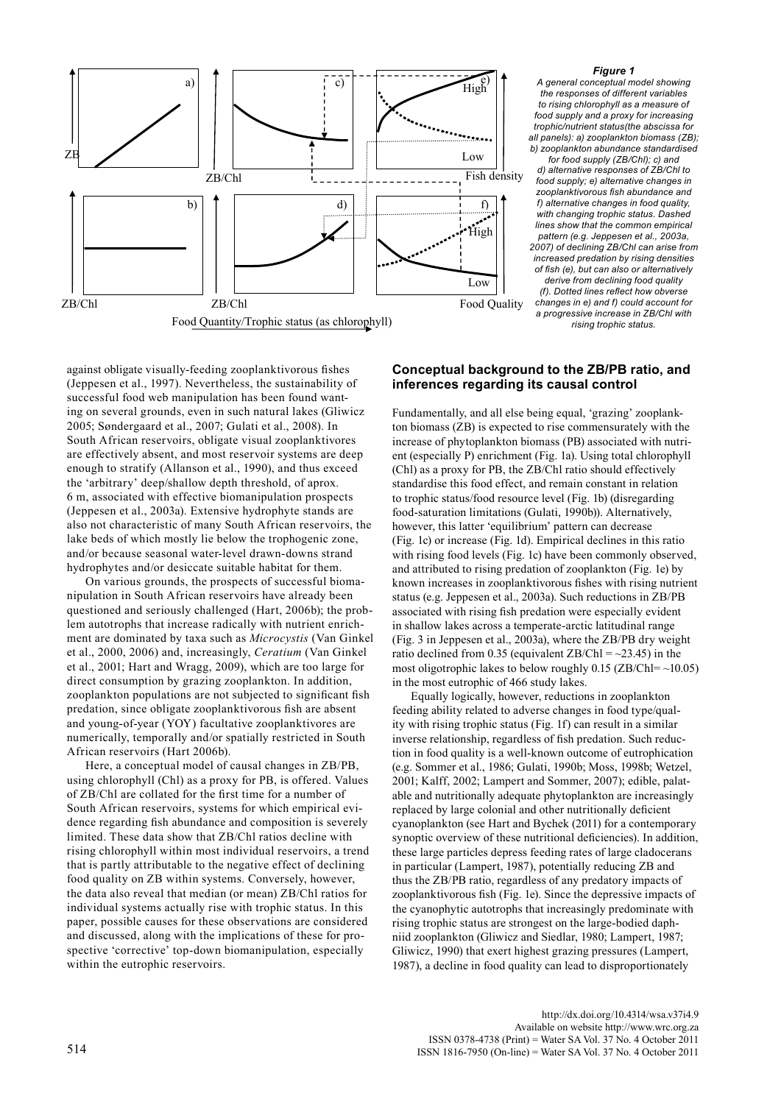

#### *Figure 1*

*A general conceptual model showing the responses of different variables to rising chlorophyll as a measure of food supply and a proxy for increasing trophic/nutrient status(the abscissa for all panels): a) zooplankton biomass (ZB); b) zooplankton abundance standardised for food supply (ZB/Chl); c) and d) alternative responses of ZB/Chl to food supply; e) alternative changes in zooplanktivorous fish abundance and f) alternative changes in food quality, with changing trophic status. Dashed lines show that the common empirical pattern (e.g. Jeppesen et al., 2003a, 2007) of declining ZB/Chl can arise from increased predation by rising densities of fish (e), but can also or alternatively derive from declining food quality (f). Dotted lines reflect how obverse changes in e) and f) could account for a progressive increase in ZB/Chl with rising trophic status.*

against obligate visually-feeding zooplanktivorous fishes (Jeppesen et al., 1997). Nevertheless, the sustainability of successful food web manipulation has been found wanting on several grounds, even in such natural lakes (Gliwicz 2005; Søndergaard et al., 2007; Gulati et al., 2008). In South African reservoirs, obligate visual zooplanktivores are effectively absent, and most reservoir systems are deep enough to stratify (Allanson et al., 1990), and thus exceed the 'arbitrary' deep/shallow depth threshold, of aprox. 6 m, associated with effective biomanipulation prospects (Jeppesen et al., 2003a). Extensive hydrophyte stands are also not characteristic of many South African reservoirs, the lake beds of which mostly lie below the trophogenic zone, and/or because seasonal water-level drawn-downs strand hydrophytes and/or desiccate suitable habitat for them.

On various grounds, the prospects of successful biomanipulation in South African reservoirs have already been questioned and seriously challenged (Hart, 2006b); the problem autotrophs that increase radically with nutrient enrichment are dominated by taxa such as *Microcystis* (Van Ginkel et al., 2000, 2006) and, increasingly, *Ceratium* (Van Ginkel et al., 2001; Hart and Wragg, 2009), which are too large for direct consumption by grazing zooplankton. In addition, zooplankton populations are not subjected to significant fish predation, since obligate zooplanktivorous fish are absent and young-of-year (YOY) facultative zooplanktivores are numerically, temporally and/or spatially restricted in South African reservoirs (Hart 2006b).

Here, a conceptual model of causal changes in ZB/PB, using chlorophyll (Chl) as a proxy for PB, is offered. Values of ZB/Chl are collated for the first time for a number of South African reservoirs, systems for which empirical evidence regarding fish abundance and composition is severely limited. These data show that ZB/Chl ratios decline with rising chlorophyll within most individual reservoirs, a trend that is partly attributable to the negative effect of declining food quality on ZB within systems. Conversely, however, the data also reveal that median (or mean) ZB/Chl ratios for individual systems actually rise with trophic status. In this paper, possible causes for these observations are considered and discussed, along with the implications of these for prospective 'corrective' top-down biomanipulation, especially within the eutrophic reservoirs.

# **Conceptual background to the ZB/PB ratio, and inferences regarding its causal control**

Fundamentally, and all else being equal, 'grazing' zooplankton biomass (ZB) is expected to rise commensurately with the increase of phytoplankton biomass (PB) associated with nutrient (especially P) enrichment (Fig. 1a). Using total chlorophyll (Chl) as a proxy for PB, the ZB/Chl ratio should effectively standardise this food effect, and remain constant in relation to trophic status/food resource level (Fig. 1b) (disregarding food-saturation limitations (Gulati, 1990b)). Alternatively, however, this latter 'equilibrium' pattern can decrease (Fig. 1c) or increase (Fig. 1d). Empirical declines in this ratio with rising food levels (Fig. 1c) have been commonly observed, and attributed to rising predation of zooplankton (Fig. 1e) by known increases in zooplanktivorous fishes with rising nutrient status (e.g. Jeppesen et al., 2003a). Such reductions in ZB/PB associated with rising fish predation were especially evident in shallow lakes across a temperate-arctic latitudinal range (Fig. 3 in Jeppesen et al., 2003a), where the ZB/PB dry weight ratio declined from 0.35 (equivalent ZB/Chl =  $\sim$ 23.45) in the most oligotrophic lakes to below roughly 0.15 (ZB/Chl= $\sim$ 10.05) in the most eutrophic of 466 study lakes.

Equally logically, however, reductions in zooplankton feeding ability related to adverse changes in food type/quality with rising trophic status (Fig. 1f) can result in a similar inverse relationship, regardless of fish predation. Such reduction in food quality is a well-known outcome of eutrophication (e.g. Sommer et al., 1986; Gulati, 1990b; Moss, 1998b; Wetzel, 2001; Kalff, 2002; Lampert and Sommer, 2007); edible, palatable and nutritionally adequate phytoplankton are increasingly replaced by large colonial and other nutritionally deficient cyanoplankton (see Hart and Bychek (2011) for a contemporary synoptic overview of these nutritional deficiencies). In addition, these large particles depress feeding rates of large cladocerans in particular (Lampert, 1987), potentially reducing ZB and thus the ZB/PB ratio, regardless of any predatory impacts of zooplanktivorous fish (Fig. 1e). Since the depressive impacts of the cyanophytic autotrophs that increasingly predominate with rising trophic status are strongest on the large-bodied daphniid zooplankton (Gliwicz and Siedlar, 1980; Lampert, 1987; Gliwicz, 1990) that exert highest grazing pressures (Lampert, 1987), a decline in food quality can lead to disproportionately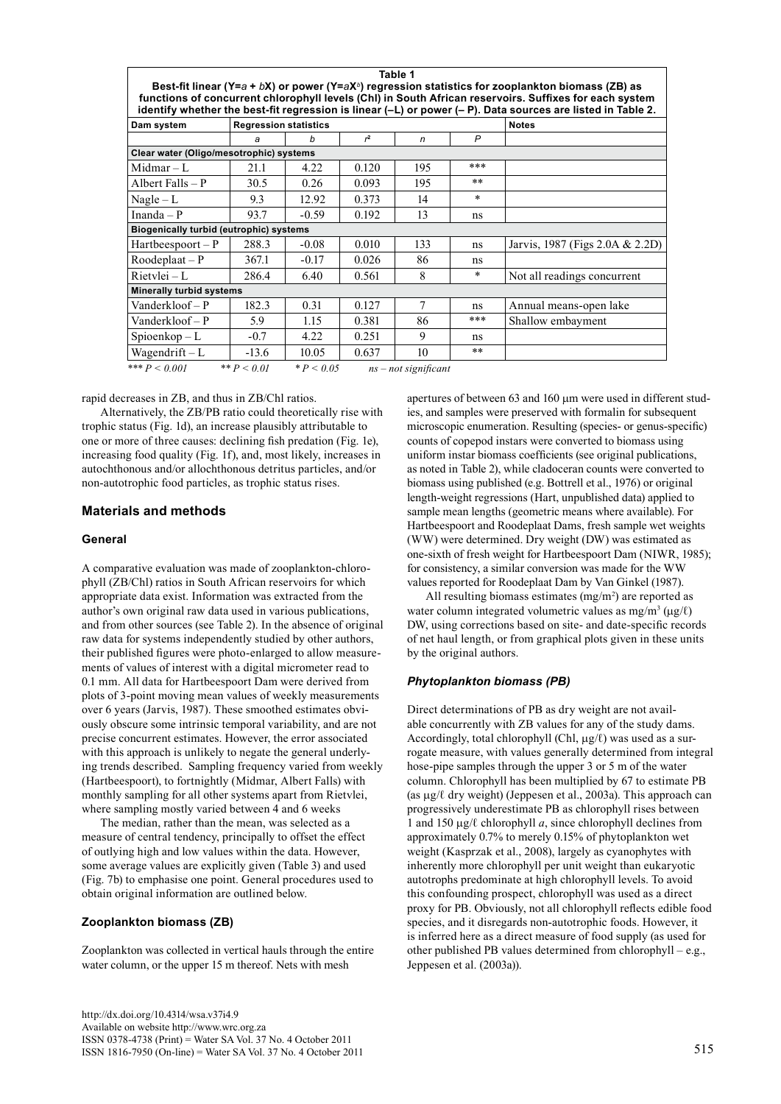| Table 1                                                                                                                                                                                                               |                              |             |       |                        |              |                                 |  |  |  |  |
|-----------------------------------------------------------------------------------------------------------------------------------------------------------------------------------------------------------------------|------------------------------|-------------|-------|------------------------|--------------|---------------------------------|--|--|--|--|
| Best-fit linear (Y=a + bX) or power (Y=aX <sup>b</sup> ) regression statistics for zooplankton biomass (ZB) as                                                                                                        |                              |             |       |                        |              |                                 |  |  |  |  |
| functions of concurrent chlorophyll levels (ChI) in South African reservoirs. Suffixes for each system<br>identify whether the best-fit regression is linear (-L) or power (- P). Data sources are listed in Table 2. |                              |             |       |                        |              |                                 |  |  |  |  |
| Dam system                                                                                                                                                                                                            | <b>Regression statistics</b> |             |       | <b>Notes</b>           |              |                                 |  |  |  |  |
|                                                                                                                                                                                                                       | a                            | b           | $r^2$ | n                      | $\mathsf{P}$ |                                 |  |  |  |  |
| Clear water (Oligo/mesotrophic) systems                                                                                                                                                                               |                              |             |       |                        |              |                                 |  |  |  |  |
| Midmar $- L$                                                                                                                                                                                                          | 21.1                         | 4.22        | 0.120 | 195                    | ***          |                                 |  |  |  |  |
| Albert Falls $-P$                                                                                                                                                                                                     | 30.5                         | 0.26        | 0.093 | 195                    | $**$         |                                 |  |  |  |  |
| $Nagle - L$                                                                                                                                                                                                           | 9.3                          | 12.92       | 0.373 | 14                     | *            |                                 |  |  |  |  |
| $In a - P$                                                                                                                                                                                                            | 93.7                         | $-0.59$     | 0.192 | 13                     | ns           |                                 |  |  |  |  |
| Biogenically turbid (eutrophic) systems                                                                                                                                                                               |                              |             |       |                        |              |                                 |  |  |  |  |
| $Hartbeespoort - P$                                                                                                                                                                                                   | 288.3                        | $-0.08$     | 0.010 | 133                    | ns           | Jarvis, 1987 (Figs 2.0A & 2.2D) |  |  |  |  |
| $Roodeplaat - P$                                                                                                                                                                                                      | 367.1                        | $-0.17$     | 0.026 | 86                     | ns           |                                 |  |  |  |  |
| $Rietvlei - L$                                                                                                                                                                                                        | 286.4                        | 6.40        | 0.561 | 8                      | ∗            | Not all readings concurrent     |  |  |  |  |
| <b>Minerally turbid systems</b>                                                                                                                                                                                       |                              |             |       |                        |              |                                 |  |  |  |  |
| Vanderkloof – P                                                                                                                                                                                                       | 182.3                        | 0.31        | 0.127 | 7                      | ns           | Annual means-open lake          |  |  |  |  |
| Vanderkloof $-P$                                                                                                                                                                                                      | 5.9                          | 1.15        | 0.381 | 86                     | ***          | Shallow embayment               |  |  |  |  |
| $Spioenkop - L$                                                                                                                                                                                                       | $-0.7$                       | 4.22        | 0.251 | 9                      | ns           |                                 |  |  |  |  |
| Wagendrift $-L$                                                                                                                                                                                                       | $-13.6$                      | 10.05       | 0.637 | 10                     | $* *$        |                                 |  |  |  |  |
| *** $P \le 0.001$                                                                                                                                                                                                     | ** $P < 0.01$                | $*P < 0.05$ |       | $ns$ – not significant |              |                                 |  |  |  |  |

rapid decreases in ZB, and thus in ZB/Chl ratios.

Alternatively, the ZB/PB ratio could theoretically rise with trophic status (Fig. 1d), an increase plausibly attributable to one or more of three causes: declining fish predation (Fig. 1e), increasing food quality (Fig. 1f), and, most likely, increases in autochthonous and/or allochthonous detritus particles, and/or non-autotrophic food particles, as trophic status rises.

# **Materials and methods**

# **General**

A comparative evaluation was made of zooplankton-chlorophyll (ZB/Chl) ratios in South African reservoirs for which appropriate data exist. Information was extracted from the author's own original raw data used in various publications, and from other sources (see Table 2). In the absence of original raw data for systems independently studied by other authors, their published figures were photo-enlarged to allow measurements of values of interest with a digital micrometer read to 0.1 mm. All data for Hartbeespoort Dam were derived from plots of 3-point moving mean values of weekly measurements over 6 years (Jarvis, 1987). These smoothed estimates obviously obscure some intrinsic temporal variability, and are not precise concurrent estimates. However, the error associated with this approach is unlikely to negate the general underlying trends described. Sampling frequency varied from weekly (Hartbeespoort), to fortnightly (Midmar, Albert Falls) with monthly sampling for all other systems apart from Rietvlei, where sampling mostly varied between 4 and 6 weeks

The median, rather than the mean, was selected as a measure of central tendency, principally to offset the effect of outlying high and low values within the data. However, some average values are explicitly given (Table 3) and used (Fig. 7b) to emphasise one point. General procedures used to obtain original information are outlined below.

#### **Zooplankton biomass (ZB)**

Zooplankton was collected in vertical hauls through the entire water column, or the upper 15 m thereof. Nets with mesh

apertures of between 63 and 160 µm were used in different studies, and samples were preserved with formalin for subsequent microscopic enumeration. Resulting (species- or genus-specific) counts of copepod instars were converted to biomass using uniform instar biomass coefficients (see original publications, as noted in Table 2), while cladoceran counts were converted to biomass using published (e.g. Bottrell et al., 1976) or original length-weight regressions (Hart, unpublished data) applied to sample mean lengths (geometric means where available). For Hartbeespoort and Roodeplaat Dams, fresh sample wet weights (WW) were determined. Dry weight (DW) was estimated as one-sixth of fresh weight for Hartbeespoort Dam (NIWR, 1985); for consistency, a similar conversion was made for the WW values reported for Roodeplaat Dam by Van Ginkel (1987).

All resulting biomass estimates  $(mg/m<sup>2</sup>)$  are reported as water column integrated volumetric values as mg/m<sup>3</sup> ( $\mu$ g/ $\ell$ ) DW, using corrections based on site- and date-specific records of net haul length, or from graphical plots given in these units by the original authors.

## *Phytoplankton biomass (PB)*

Direct determinations of PB as dry weight are not available concurrently with ZB values for any of the study dams. Accordingly, total chlorophyll (Chl,  $\mu$ g/ℓ) was used as a surrogate measure, with values generally determined from integral hose-pipe samples through the upper 3 or 5 m of the water column. Chlorophyll has been multiplied by 67 to estimate PB (as  $\mu$ g/ $\ell$  dry weight) (Jeppesen et al., 2003a). This approach can progressively underestimate PB as chlorophyll rises between 1 and 150 mg/ℓ chlorophyll *a*, since chlorophyll declines from approximately 0.7% to merely 0.15% of phytoplankton wet weight (Kasprzak et al., 2008), largely as cyanophytes with inherently more chlorophyll per unit weight than eukaryotic autotrophs predominate at high chlorophyll levels. To avoid this confounding prospect, chlorophyll was used as a direct proxy for PB. Obviously, not all chlorophyll reflects edible food species, and it disregards non-autotrophic foods. However, it is inferred here as a direct measure of food supply (as used for other published PB values determined from chlorophyll – e.g., Jeppesen et al. (2003a)).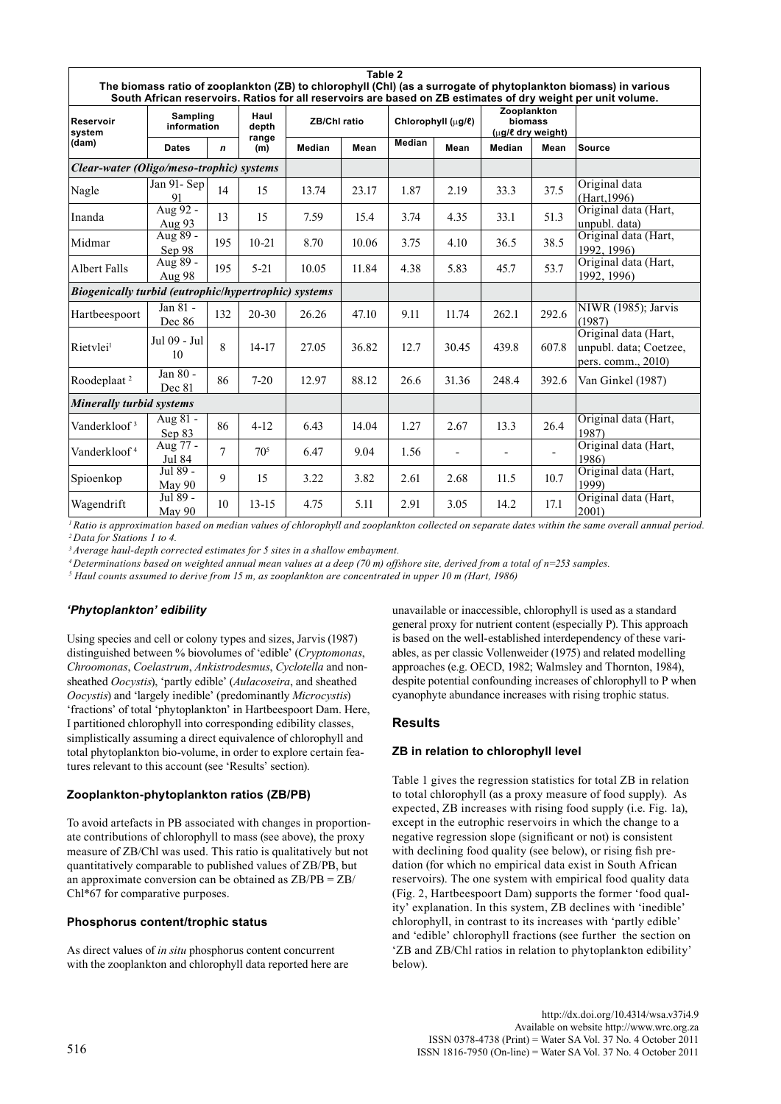| Table 2<br>The biomass ratio of zooplankton (ZB) to chlorophyll (Chl) (as a surrogate of phytoplankton biomass) in various<br>South African reservoirs. Ratios for all reservoirs are based on ZB estimates of dry weight per unit volume. |                         |                |                        |                     |       |                    |       |                                             |       |                                                                         |  |
|--------------------------------------------------------------------------------------------------------------------------------------------------------------------------------------------------------------------------------------------|-------------------------|----------------|------------------------|---------------------|-------|--------------------|-------|---------------------------------------------|-------|-------------------------------------------------------------------------|--|
| <b>Reservoir</b><br>system<br>(dam)                                                                                                                                                                                                        | Sampling<br>information |                | Haul<br>depth<br>range | <b>ZB/Chl ratio</b> |       | Chlorophyll (µg/ℓ) |       | Zooplankton<br>biomass<br>(ug/e dry weight) |       |                                                                         |  |
|                                                                                                                                                                                                                                            | <b>Dates</b>            | n              | (m)                    | Median              | Mean  | Median<br>Mean     |       | Median                                      | Mean  | <b>Source</b>                                                           |  |
| Clear-water (Oligo/meso-trophic) systems                                                                                                                                                                                                   |                         |                |                        |                     |       |                    |       |                                             |       |                                                                         |  |
| Nagle                                                                                                                                                                                                                                      | Jan 91-Sep<br>91        | 14             | 15                     | 13.74               | 23.17 | 1.87               | 2.19  | 33.3                                        | 37.5  | Original data<br>(Hart.1996)                                            |  |
| Inanda                                                                                                                                                                                                                                     | Aug 92 -<br>Aug 93      | 13             | 15                     | 7.59                | 15.4  | 3.74               | 4.35  | 33.1                                        | 51.3  | Original data (Hart,<br>unpubl. data)                                   |  |
| Midmar                                                                                                                                                                                                                                     | Aug 89 -<br>Sep 98      | 195            | $10 - 21$              | 8.70                | 10.06 | 3.75               | 4.10  | 36.5                                        | 38.5  | Original data (Hart,<br>1992. 1996)                                     |  |
| <b>Albert Falls</b>                                                                                                                                                                                                                        | Aug 89 -<br>Aug 98      | 195            | $5 - 21$               | 10.05               | 11.84 | 4.38               | 5.83  | 45.7                                        | 53.7  | Original data (Hart,<br>1992, 1996)                                     |  |
| <b>Biogenically turbid (eutrophic/hypertrophic) systems</b>                                                                                                                                                                                |                         |                |                        |                     |       |                    |       |                                             |       |                                                                         |  |
| Hartbeespoort                                                                                                                                                                                                                              | Jan 81 -<br>Dec 86      | 132            | $20 - 30$              | 26.26               | 47.10 | 9.11               | 11.74 | 262.1                                       | 292.6 | NIWR (1985); Jarvis<br>(1987)                                           |  |
| Rietvlei <sup>1</sup>                                                                                                                                                                                                                      | Jul 09 - Jul<br>10      | 8              | $14 - 17$              | 27.05               | 36.82 | 12.7               | 30.45 | 439.8                                       | 607.8 | Original data (Hart,<br>unpubl. data; Coetzee,<br>pers. comm., $2010$ ) |  |
| Roodeplaat <sup>2</sup>                                                                                                                                                                                                                    | Jan 80 -<br>Dec 81      | 86             | $7-20$                 | 12.97               | 88.12 | 26.6               | 31.36 | 248.4                                       | 392.6 | Van Ginkel (1987)                                                       |  |
| Minerally turbid systems                                                                                                                                                                                                                   |                         |                |                        |                     |       |                    |       |                                             |       |                                                                         |  |
| Vanderkloof <sup>3</sup>                                                                                                                                                                                                                   | Aug 81 -<br>Sep 83      | 86             | $4 - 12$               | 6.43                | 14.04 | 1.27               | 2.67  | 13.3                                        | 26.4  | Original data (Hart,<br>1987)                                           |  |
| Vanderkloof <sup>4</sup>                                                                                                                                                                                                                   | Aug 77 -<br>Jul 84      | $\overline{7}$ | 70 <sup>5</sup>        | 6.47                | 9.04  | 1.56               | ٠     | $\overline{\phantom{a}}$                    |       | Original data (Hart,<br>1986)                                           |  |
| Spioenkop                                                                                                                                                                                                                                  | Jul 89 -<br>May 90      | 9              | 15                     | 3.22                | 3.82  | 2.61               | 2.68  | 11.5                                        | 10.7  | Original data (Hart,<br>1999)                                           |  |
| Wagendrift                                                                                                                                                                                                                                 | Jul 89 -<br>May 90      | 10             | $13 - 15$              | 4.75                | 5.11  | 2.91               | 3.05  | 14.2                                        | 17.1  | Original data (Hart,<br>2001)                                           |  |

*1 Ratio is approximation based on median values of chlorophyll and zooplankton collected on separate dates within the same overall annual period. 2 Data for Stations 1 to 4.* 

*3 Average haul-depth corrected estimates for 5 sites in a shallow embayment.* 

*4 Determinations based on weighted annual mean values at a deep (70 m) offshore site, derived from a total of n=253 samples.*

*5 Haul counts assumed to derive from 15 m, as zooplankton are concentrated in upper 10 m (Hart, 1986)* 

## *'Phytoplankton' edibility*

Using species and cell or colony types and sizes, Jarvis (1987) distinguished between % biovolumes of 'edible' (*Cryptomonas*, *Chroomonas*, *Coelastrum*, *Ankistrodesmus*, *Cyclotella* and nonsheathed *Oocystis*), 'partly edible' (*Aulacoseira*, and sheathed *Oocystis*) and 'largely inedible' (predominantly *Microcystis*) 'fractions' of total 'phytoplankton' in Hartbeespoort Dam. Here, I partitioned chlorophyll into corresponding edibility classes, simplistically assuming a direct equivalence of chlorophyll and total phytoplankton bio-volume, in order to explore certain features relevant to this account (see 'Results' section).

#### **Zooplankton-phytoplankton ratios (ZB/PB)**

To avoid artefacts in PB associated with changes in proportionate contributions of chlorophyll to mass (see above), the proxy measure of ZB/Chl was used. This ratio is qualitatively but not quantitatively comparable to published values of ZB/PB, but an approximate conversion can be obtained as ZB/PB = ZB/ Chl\*67 for comparative purposes.

#### **Phosphorus content/trophic status**

As direct values of *in situ* phosphorus content concurrent with the zooplankton and chlorophyll data reported here are unavailable or inaccessible, chlorophyll is used as a standard general proxy for nutrient content (especially P). This approach is based on the well-established interdependency of these variables, as per classic Vollenweider (1975) and related modelling approaches (e.g. OECD, 1982; Walmsley and Thornton, 1984), despite potential confounding increases of chlorophyll to P when cyanophyte abundance increases with rising trophic status.

# **Results**

# **ZB in relation to chlorophyll level**

Table 1 gives the regression statistics for total ZB in relation to total chlorophyll (as a proxy measure of food supply). As expected, ZB increases with rising food supply (i.e. Fig. 1a), except in the eutrophic reservoirs in which the change to a negative regression slope (significant or not) is consistent with declining food quality (see below), or rising fish predation (for which no empirical data exist in South African reservoirs). The one system with empirical food quality data (Fig. 2, Hartbeespoort Dam) supports the former 'food quality' explanation. In this system, ZB declines with 'inedible' chlorophyll, in contrast to its increases with 'partly edible' and 'edible' chlorophyll fractions (see further the section on 'ZB and ZB/Chl ratios in relation to phytoplankton edibility' below).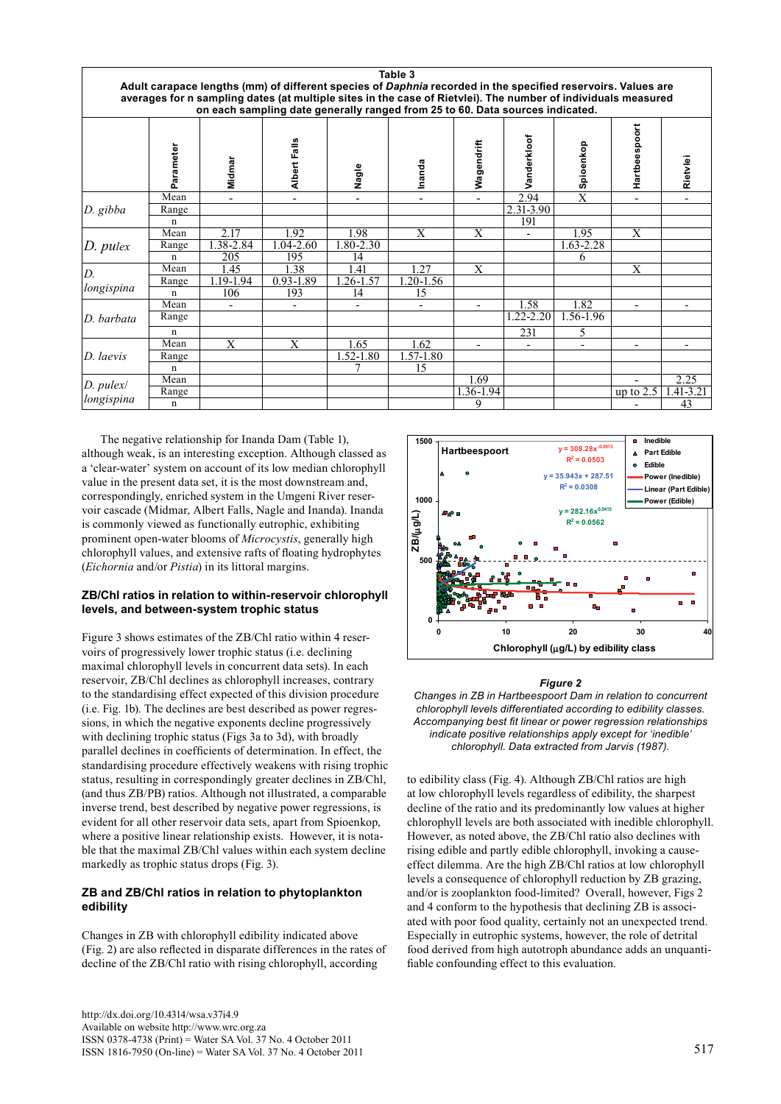| Table 3<br>Adult carapace lengths (mm) of different species of Daphnia recorded in the specified reservoirs. Values are<br>averages for n sampling dates (at multiple sites in the case of Rietvlei). The number of individuals measured<br>on each sampling date generally ranged from 25 to 60. Data sources indicated. |              |              |               |                          |                |                          |             |                         |                          |              |
|---------------------------------------------------------------------------------------------------------------------------------------------------------------------------------------------------------------------------------------------------------------------------------------------------------------------------|--------------|--------------|---------------|--------------------------|----------------|--------------------------|-------------|-------------------------|--------------------------|--------------|
|                                                                                                                                                                                                                                                                                                                           | Parameter    | Midmar       | Albert Falls  | Nagle                    | Inanda         | Wagendrift               | Vanderkloof | Spioenkop               | Hartbeespoort            | Rietvlei     |
| $ D.$ gibba                                                                                                                                                                                                                                                                                                               | Mean         |              |               |                          |                |                          | 2.94        | $\overline{\mathrm{x}}$ | $\overline{\phantom{0}}$ |              |
|                                                                                                                                                                                                                                                                                                                           | Range        |              |               |                          |                |                          | 2.31-3.90   |                         |                          |              |
|                                                                                                                                                                                                                                                                                                                           | n            |              |               |                          |                |                          | 191         |                         |                          |              |
| $ D.$ pulex                                                                                                                                                                                                                                                                                                               | Mean         | 2.17         | 1.92          | 1.98                     | X              | $\overline{X}$           |             | 1.95                    | $\overline{X}$           |              |
|                                                                                                                                                                                                                                                                                                                           | Range        | 1.38-2.84    | $1.04 - 2.60$ | 1.80-2.30                |                |                          |             | $1.63 - 2.28$           |                          |              |
|                                                                                                                                                                                                                                                                                                                           | n            | 205          | 195           | 14                       |                |                          |             | 6                       |                          |              |
| D.<br>longispina                                                                                                                                                                                                                                                                                                          | Mean         | 1.45         | 1.38          | 1.41                     | 1.27           | X                        |             |                         | X                        |              |
|                                                                                                                                                                                                                                                                                                                           | Range        | $.19 - 1.94$ | 0.93-1.89     | $.26 - 1.57$             | $.20 - 1.56$   |                          |             |                         |                          |              |
|                                                                                                                                                                                                                                                                                                                           | n            | 106          | 193           | 14                       | 15             |                          |             |                         |                          |              |
| D. barbata                                                                                                                                                                                                                                                                                                                | Mean         |              |               | $\overline{\phantom{0}}$ | $\blacksquare$ | $\overline{\phantom{a}}$ | 1.58        | 1.82                    | $\overline{\phantom{0}}$ |              |
|                                                                                                                                                                                                                                                                                                                           | Range        |              |               |                          |                |                          | 1.22-2.20   | 1.56-1.96               |                          |              |
|                                                                                                                                                                                                                                                                                                                           | n            |              |               |                          |                |                          | 231         | 5                       |                          |              |
| $ D.$ laevis                                                                                                                                                                                                                                                                                                              | Mean         | X            | X             | 1.65                     | 1.62           |                          |             |                         |                          |              |
|                                                                                                                                                                                                                                                                                                                           | Range        |              |               | .52-1.80                 | 1.57-1.80      |                          |             |                         |                          |              |
|                                                                                                                                                                                                                                                                                                                           | n            |              |               |                          | 15             |                          |             |                         |                          |              |
| $ D. \text{ pulse} \rangle$<br>longispina                                                                                                                                                                                                                                                                                 | Mean         |              |               |                          |                | 1.69                     |             |                         |                          | 2.25         |
|                                                                                                                                                                                                                                                                                                                           | Range        |              |               |                          |                | 1.36-1.94                |             |                         | up to $2.5$              | $.41 - 3.21$ |
|                                                                                                                                                                                                                                                                                                                           | $\mathsf{n}$ |              |               |                          |                | 9                        |             |                         |                          | 43           |

The negative relationship for Inanda Dam (Table 1), although weak, is an interesting exception. Although classed as a 'clear-water' system on account of its low median chlorophyll value in the present data set, it is the most downstream and, correspondingly, enriched system in the Umgeni River reservoir cascade (Midmar, Albert Falls, Nagle and Inanda). Inanda is commonly viewed as functionally eutrophic, exhibiting prominent open-water blooms of *Microcystis*, generally high chlorophyll values, and extensive rafts of floating hydrophytes (*Eichornia* and/or *Pistia*) in its littoral margins.

# **ZB/Chl ratios in relation to within-reservoir chlorophyll levels, and between-system trophic status**

Figure 3 shows estimates of the ZB/Chl ratio within 4 reservoirs of progressively lower trophic status (i.e. declining maximal chlorophyll levels in concurrent data sets). In each reservoir, ZB/Chl declines as chlorophyll increases, contrary to the standardising effect expected of this division procedure (i.e. Fig. 1b). The declines are best described as power regressions, in which the negative exponents decline progressively with declining trophic status (Figs 3a to 3d), with broadly parallel declines in coefficients of determination. In effect, the standardising procedure effectively weakens with rising trophic status, resulting in correspondingly greater declines in ZB/Chl, (and thus ZB/PB) ratios. Although not illustrated, a comparable inverse trend, best described by negative power regressions, is evident for all other reservoir data sets, apart from Spioenkop, where a positive linear relationship exists. However, it is notable that the maximal ZB/Chl values within each system decline markedly as trophic status drops (Fig. 3).

# **ZB and ZB/Chl ratios in relation to phytoplankton edibility**

Changes in ZB with chlorophyll edibility indicated above (Fig. 2) are also reflected in disparate differences in the rates of decline of the ZB/Chl ratio with rising chlorophyll, according

<http://dx.doi.org/10.4314/wsa.v37i4.9> Available on website http://www.wrc.org.za ISSN 0378-4738 (Print) = Water SA Vol. 37 No. 4 October 2011  $1$ SSN 1816-7950 (On-line) = Water SA Vol. 37 No. 4 October 2011 517 No. 37 No. 4 October 2011



## *Figure 2*

*Changes in ZB in Hartbeespoort Dam in relation to concurrent chlorophyll levels differentiated according to edibility classes. Accompanying best fit linear or power regression relationships indicate positive relationships apply except for 'inedible' chlorophyll. Data extracted from Jarvis (1987).*

to edibility class (Fig. 4). Although ZB/Chl ratios are high at low chlorophyll levels regardless of edibility, the sharpest decline of the ratio and its predominantly low values at higher chlorophyll levels are both associated with inedible chlorophyll. However, as noted above, the ZB/Chl ratio also declines with rising edible and partly edible chlorophyll, invoking a causeeffect dilemma. Are the high ZB/Chl ratios at low chlorophyll levels a consequence of chlorophyll reduction by ZB grazing, and/or is zooplankton food-limited? Overall, however, Figs 2 and 4 conform to the hypothesis that declining ZB is associated with poor food quality, certainly not an unexpected trend. Especially in eutrophic systems, however, the role of detrital food derived from high autotroph abundance adds an unquantifiable confounding effect to this evaluation.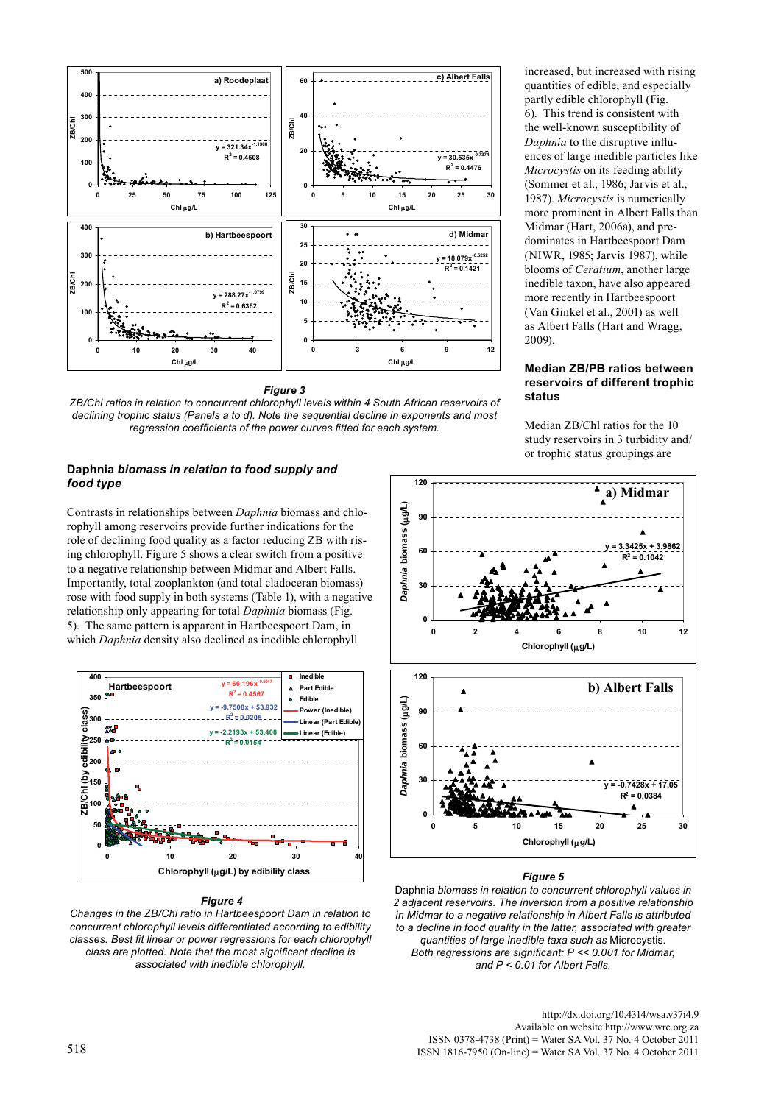

*Figure 3*

*ZB/Chl ratios in relation to concurrent chlorophyll levels within 4 South African reservoirs of declining trophic status (Panels a to d). Note the sequential decline in exponents and most regression coefficients of the power curves fitted for each system.*

# **Daphnia** *biomass in relation to food supply and food type*

Contrasts in relationships between *Daphnia* biomass and chlorophyll among reservoirs provide further indications for the role of declining food quality as a factor reducing ZB with rising chlorophyll. Figure 5 shows a clear switch from a positive to a negative relationship between Midmar and Albert Falls. Importantly, total zooplankton (and total cladoceran biomass) rose with food supply in both systems (Table 1), with a negative relationship only appearing for total *Daphnia* biomass (Fig. 5). The same pattern is apparent in Hartbeespoort Dam, in which *Daphnia* density also declined as inedible chlorophyll



#### *Figure 4*

*Changes in the ZB/Chl ratio in Hartbeespoort Dam in relation to concurrent chlorophyll levels differentiated according to edibility classes. Best fit linear or power regressions for each chlorophyll class are plotted. Note that the most significant decline is associated with inedible chlorophyll.*

increased, but increased with rising quantities of edible, and especially partly edible chlorophyll (Fig. 6). This trend is consistent with the well-known susceptibility of *Daphnia* to the disruptive influences of large inedible particles like *Microcystis* on its feeding ability (Sommer et al., 1986; Jarvis et al., 1987). *Microcystis* is numerically more prominent in Albert Falls than Midmar (Hart, 2006a), and predominates in Hartbeespoort Dam (NIWR, 1985; Jarvis 1987), while blooms of *Ceratium*, another large inedible taxon, have also appeared more recently in Hartbeespoort (Van Ginkel et al., 2001) as well as Albert Falls (Hart and Wragg, 2009).

# **Median ZB/PB ratios between reservoirs of different trophic status**

Median ZB/Chl ratios for the 10 study reservoirs in 3 turbidity and/ or trophic status groupings are



#### *Figure 5*

Daphnia *biomass in relation to concurrent chlorophyll values in 2 adjacent reservoirs. The inversion from a positive relationship in Midmar to a negative relationship in Albert Falls is attributed to a decline in food quality in the latter, associated with greater quantities of large inedible taxa such as* Microcystis*. Both regressions are significant: P << 0.001 for Midmar, and P < 0.01 for Albert Falls.*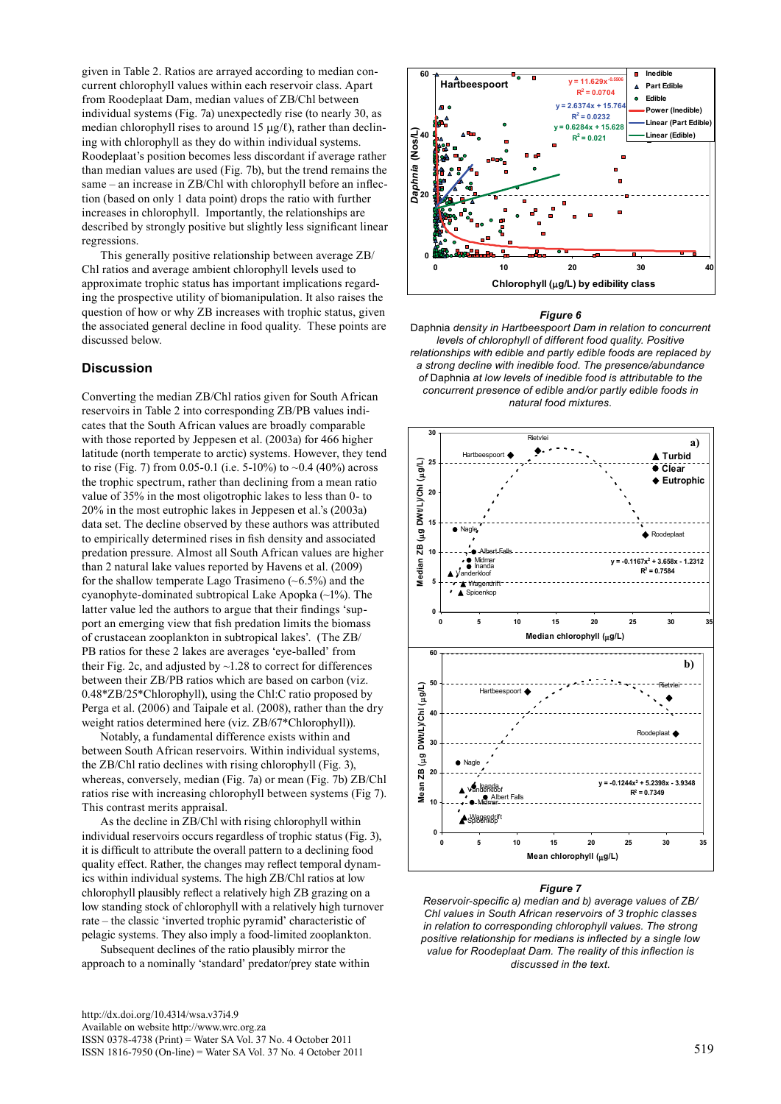given in Table 2. Ratios are arrayed according to median concurrent chlorophyll values within each reservoir class. Apart from Roodeplaat Dam, median values of ZB/Chl between individual systems (Fig. 7a) unexpectedly rise (to nearly 30, as median chlorophyll rises to around 15  $\mu$ g/ℓ), rather than declining with chlorophyll as they do within individual systems. Roodeplaat's position becomes less discordant if average rather than median values are used (Fig. 7b), but the trend remains the same – an increase in ZB/Chl with chlorophyll before an inflection (based on only 1 data point) drops the ratio with further increases in chlorophyll. Importantly, the relationships are described by strongly positive but slightly less significant linear regressions.

This generally positive relationship between average ZB/ Chl ratios and average ambient chlorophyll levels used to approximate trophic status has important implications regarding the prospective utility of biomanipulation. It also raises the question of how or why ZB increases with trophic status, given the associated general decline in food quality. These points are discussed below.

# **Discussion**

Converting the median ZB/Chl ratios given for South African reservoirs in Table 2 into corresponding ZB/PB values indicates that the South African values are broadly comparable with those reported by Jeppesen et al. (2003a) for 466 higher latitude (north temperate to arctic) systems. However, they tend to rise (Fig. 7) from 0.05-0.1 (i.e. 5-10%) to  $\sim$  0.4 (40%) across the trophic spectrum, rather than declining from a mean ratio value of 35% in the most oligotrophic lakes to less than 0- to 20% in the most eutrophic lakes in Jeppesen et al.'s (2003a) data set. The decline observed by these authors was attributed to empirically determined rises in fish density and associated predation pressure. Almost all South African values are higher than 2 natural lake values reported by Havens et al. (2009) for the shallow temperate Lago Trasimeno  $(-6.5\%)$  and the cyanophyte-dominated subtropical Lake Apopka (~1%). The latter value led the authors to argue that their findings 'support an emerging view that fish predation limits the biomass of crustacean zooplankton in subtropical lakes'. (The ZB/ PB ratios for these 2 lakes are averages 'eye-balled' from their Fig. 2c, and adjusted by  $\sim$  1.28 to correct for differences between their ZB/PB ratios which are based on carbon (viz. 0.48\*ZB/25\*Chlorophyll), using the Chl:C ratio proposed by Perga et al. (2006) and Taipale et al. (2008), rather than the dry weight ratios determined here (viz. ZB/67\*Chlorophyll)).

Notably, a fundamental difference exists within and between South African reservoirs. Within individual systems, the ZB/Chl ratio declines with rising chlorophyll (Fig. 3), whereas, conversely, median (Fig. 7a) or mean (Fig. 7b) ZB/Chl ratios rise with increasing chlorophyll between systems (Fig 7). This contrast merits appraisal.

As the decline in ZB/Chl with rising chlorophyll within individual reservoirs occurs regardless of trophic status (Fig. 3), it is difficult to attribute the overall pattern to a declining food quality effect. Rather, the changes may reflect temporal dynamics within individual systems. The high ZB/Chl ratios at low chlorophyll plausibly reflect a relatively high ZB grazing on a low standing stock of chlorophyll with a relatively high turnover rate – the classic 'inverted trophic pyramid' characteristic of pelagic systems. They also imply a food-limited zooplankton.

Subsequent declines of the ratio plausibly mirror the approach to a nominally 'standard' predator/prey state within



#### *Figure 6*

Daphnia *density in Hartbeespoort Dam in relation to concurrent levels of chlorophyll of different food quality. Positive relationships with edible and partly edible foods are replaced by a strong decline with inedible food. The presence/abundance of* Daphnia *at low levels of inedible food is attributable to the concurrent presence of edible and/or partly edible foods in natural food mixtures.* 



#### *Figure 7*

*Reservoir-specific a) median and b) average values of ZB/ Chl values in South African reservoirs of 3 trophic classes in relation to corresponding chlorophyll values. The strong positive relationship for medians is inflected by a single low value for Roodeplaat Dam. The reality of this inflection is discussed in the text.*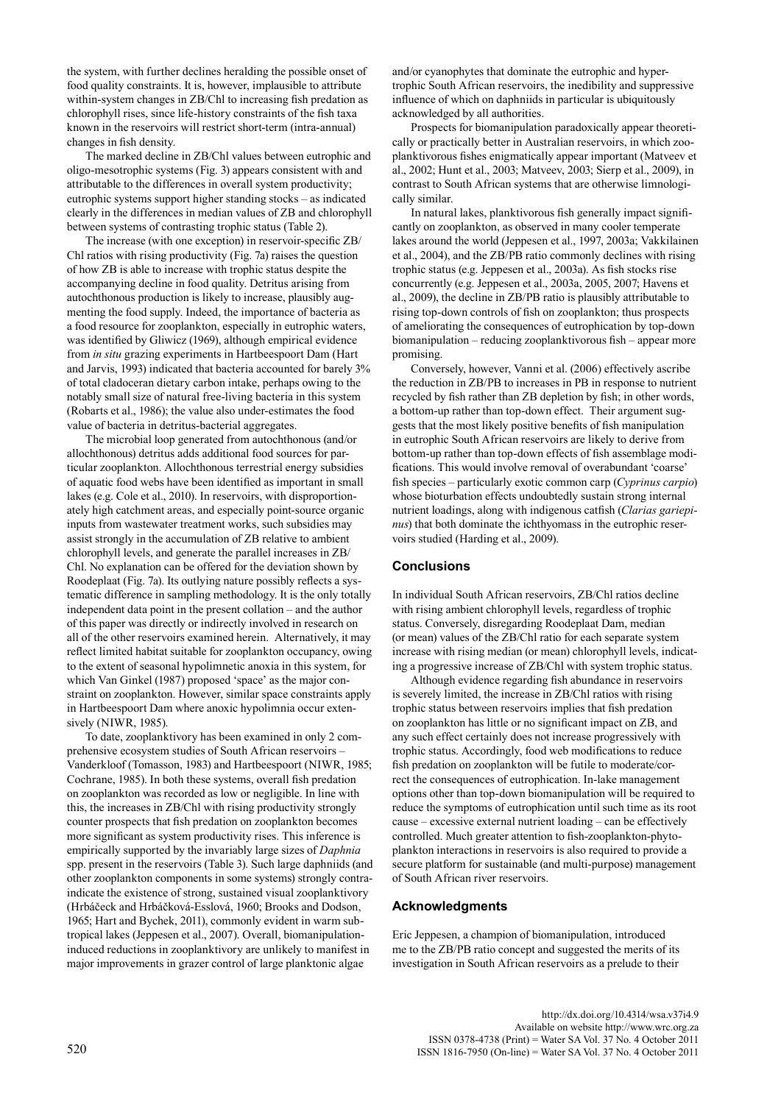the system, with further declines heralding the possible onset of food quality constraints. It is, however, implausible to attribute within-system changes in ZB/Chl to increasing fish predation as chlorophyll rises, since life-history constraints of the fish taxa known in the reservoirs will restrict short-term (intra-annual) changes in fish density.

The marked decline in ZB/Chl values between eutrophic and oligo-mesotrophic systems (Fig. 3) appears consistent with and attributable to the differences in overall system productivity; eutrophic systems support higher standing stocks – as indicated clearly in the differences in median values of ZB and chlorophyll between systems of contrasting trophic status (Table 2).

The increase (with one exception) in reservoir-specific ZB/ Chl ratios with rising productivity (Fig. 7a) raises the question of how ZB is able to increase with trophic status despite the accompanying decline in food quality. Detritus arising from autochthonous production is likely to increase, plausibly augmenting the food supply. Indeed, the importance of bacteria as a food resource for zooplankton, especially in eutrophic waters, was identified by Gliwicz (1969), although empirical evidence from *in situ* grazing experiments in Hartbeespoort Dam (Hart and Jarvis, 1993) indicated that bacteria accounted for barely 3% of total cladoceran dietary carbon intake, perhaps owing to the notably small size of natural free-living bacteria in this system (Robarts et al., 1986); the value also under-estimates the food value of bacteria in detritus-bacterial aggregates.

The microbial loop generated from autochthonous (and/or allochthonous) detritus adds additional food sources for particular zooplankton. Allochthonous terrestrial energy subsidies of aquatic food webs have been identified as important in small lakes (e.g. Cole et al., 2010). In reservoirs, with disproportionately high catchment areas, and especially point-source organic inputs from wastewater treatment works, such subsidies may assist strongly in the accumulation of ZB relative to ambient chlorophyll levels, and generate the parallel increases in ZB/ Chl. No explanation can be offered for the deviation shown by Roodeplaat (Fig. 7a). Its outlying nature possibly reflects a systematic difference in sampling methodology. It is the only totally independent data point in the present collation – and the author of this paper was directly or indirectly involved in research on all of the other reservoirs examined herein. Alternatively, it may reflect limited habitat suitable for zooplankton occupancy, owing to the extent of seasonal hypolimnetic anoxia in this system, for which Van Ginkel (1987) proposed 'space' as the major constraint on zooplankton. However, similar space constraints apply in Hartbeespoort Dam where anoxic hypolimnia occur extensively (NIWR, 1985).

To date, zooplanktivory has been examined in only 2 comprehensive ecosystem studies of South African reservoirs – Vanderkloof (Tomasson, 1983) and Hartbeespoort (NIWR, 1985; Cochrane, 1985). In both these systems, overall fish predation on zooplankton was recorded as low or negligible. In line with this, the increases in ZB/Chl with rising productivity strongly counter prospects that fish predation on zooplankton becomes more significant as system productivity rises. This inference is empirically supported by the invariably large sizes of *Daphnia* spp. present in the reservoirs (Table 3). Such large daphniids (and other zooplankton components in some systems) strongly contraindicate the existence of strong, sustained visual zooplanktivory (Hrbáčeck and Hrbáčková-Esslová, 1960; Brooks and Dodson, 1965; Hart and Bychek, 2011), commonly evident in warm subtropical lakes (Jeppesen et al., 2007). Overall, biomanipulationinduced reductions in zooplanktivory are unlikely to manifest in major improvements in grazer control of large planktonic algae

and/or cyanophytes that dominate the eutrophic and hypertrophic South African reservoirs, the inedibility and suppressive influence of which on daphniids in particular is ubiquitously acknowledged by all authorities.

Prospects for biomanipulation paradoxically appear theoretically or practically better in Australian reservoirs, in which zooplanktivorous fishes enigmatically appear important (Matveev et al., 2002; Hunt et al., 2003; Matveev, 2003; Sierp et al., 2009), in contrast to South African systems that are otherwise limnologically similar.

In natural lakes, planktivorous fish generally impact significantly on zooplankton, as observed in many cooler temperate lakes around the world (Jeppesen et al., 1997, 2003a; Vakkilainen et al., 2004), and the ZB/PB ratio commonly declines with rising trophic status (e.g. Jeppesen et al., 2003a). As fish stocks rise concurrently (e.g. Jeppesen et al., 2003a, 2005, 2007; Havens et al., 2009), the decline in ZB/PB ratio is plausibly attributable to rising top-down controls of fish on zooplankton; thus prospects of ameliorating the consequences of eutrophication by top-down biomanipulation – reducing zooplanktivorous fish – appear more promising.

Conversely, however, Vanni et al. (2006) effectively ascribe the reduction in ZB/PB to increases in PB in response to nutrient recycled by fish rather than ZB depletion by fish; in other words, a bottom-up rather than top-down effect. Their argument suggests that the most likely positive benefits of fish manipulation in eutrophic South African reservoirs are likely to derive from bottom-up rather than top-down effects of fish assemblage modifications. This would involve removal of overabundant 'coarse' fish species – particularly exotic common carp (*Cyprinus carpio*) whose bioturbation effects undoubtedly sustain strong internal nutrient loadings, along with indigenous catfish (*Clarias gariepinus*) that both dominate the ichthyomass in the eutrophic reservoirs studied (Harding et al., 2009).

# **Conclusions**

In individual South African reservoirs, ZB/Chl ratios decline with rising ambient chlorophyll levels, regardless of trophic status. Conversely, disregarding Roodeplaat Dam, median (or mean) values of the ZB/Chl ratio for each separate system increase with rising median (or mean) chlorophyll levels, indicating a progressive increase of ZB/Chl with system trophic status.

Although evidence regarding fish abundance in reservoirs is severely limited, the increase in ZB/Chl ratios with rising trophic status between reservoirs implies that fish predation on zooplankton has little or no significant impact on ZB, and any such effect certainly does not increase progressively with trophic status. Accordingly, food web modifications to reduce fish predation on zooplankton will be futile to moderate/correct the consequences of eutrophication. In-lake management options other than top-down biomanipulation will be required to reduce the symptoms of eutrophication until such time as its root cause – excessive external nutrient loading – can be effectively controlled. Much greater attention to fish-zooplankton-phytoplankton interactions in reservoirs is also required to provide a secure platform for sustainable (and multi-purpose) management of South African river reservoirs.

## **Acknowledgments**

Eric Jeppesen, a champion of biomanipulation, introduced me to the ZB/PB ratio concept and suggested the merits of its investigation in South African reservoirs as a prelude to their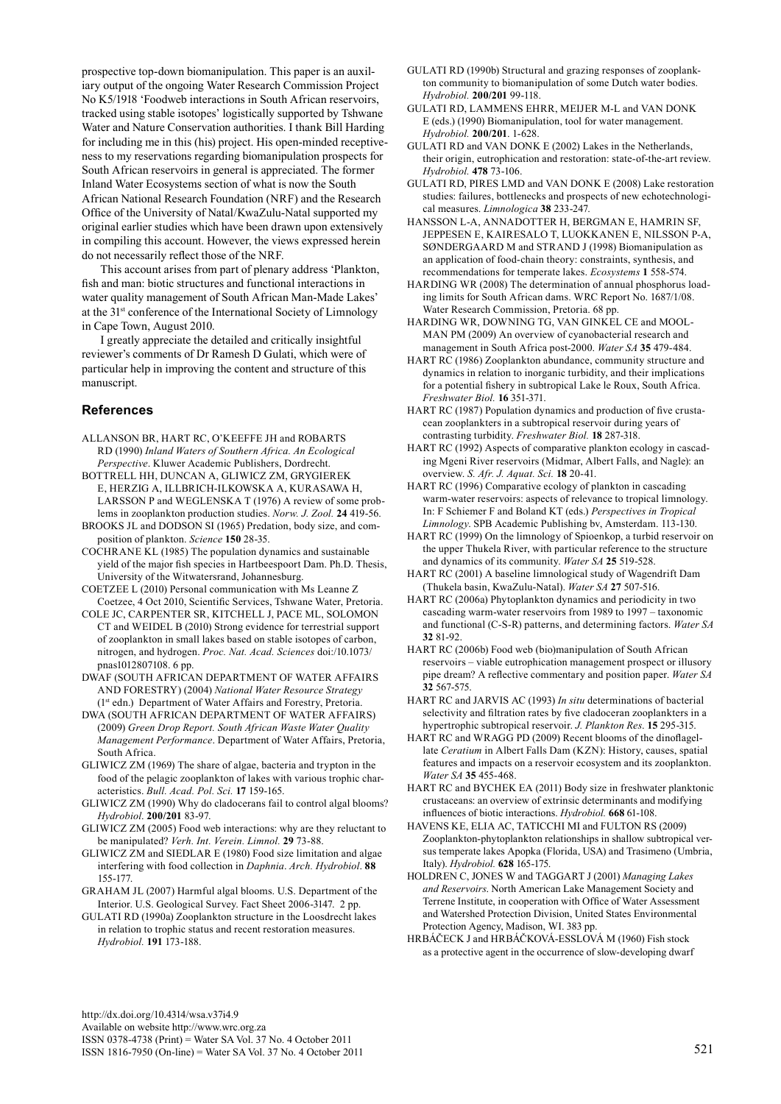prospective top-down biomanipulation. This paper is an auxiliary output of the ongoing Water Research Commission Project No K5/1918 'Foodweb interactions in South African reservoirs, tracked using stable isotopes' logistically supported by Tshwane Water and Nature Conservation authorities. I thank Bill Harding for including me in this (his) project. His open-minded receptiveness to my reservations regarding biomanipulation prospects for South African reservoirs in general is appreciated. The former Inland Water Ecosystems section of what is now the South African National Research Foundation (NRF) and the Research Office of the University of Natal/KwaZulu-Natal supported my original earlier studies which have been drawn upon extensively in compiling this account. However, the views expressed herein do not necessarily reflect those of the NRF.

This account arises from part of plenary address 'Plankton, fish and man: biotic structures and functional interactions in water quality management of South African Man-Made Lakes' at the 31st conference of the International Society of Limnology in Cape Town, August 2010.

I greatly appreciate the detailed and critically insightful reviewer's comments of Dr Ramesh D Gulati, which were of particular help in improving the content and structure of this manuscript.

## **References**

- ALLANSON BR, HART RC, O'KEEFFE JH and ROBARTS RD (1990) *Inland Waters of Southern Africa. An Ecological Perspective*. Kluwer Academic Publishers, Dordrecht.
- BOTTRELL HH, DUNCAN A, GLIWICZ ZM, GRYGIEREK E, HERZIG A, ILLBRICH-ILKOWSKA A, KURASAWA H, LARSSON P and WEGLENSKA T (1976) A review of some problems in zooplankton production studies. *Norw. J. Zool.* **24** 419-56.
- BROOKS JL and DODSON SI (1965) Predation, body size, and composition of plankton. *Science* **150** 28-35.
- COCHRANE KL (1985) The population dynamics and sustainable yield of the major fish species in Hartbeespoort Dam. Ph.D. Thesis, University of the Witwatersrand, Johannesburg.
- COETZEE L (2010) Personal communication with Ms Leanne Z Coetzee, 4 Oct 2010, Scientific Services, Tshwane Water, Pretoria.
- COLE JC, CARPENTER SR, KITCHELL J, PACE ML, SOLOMON CT and WEIDEL B (2010) Strong evidence for terrestrial support of zooplankton in small lakes based on stable isotopes of carbon, nitrogen, and hydrogen. *Proc. Nat. Acad. Sciences* doi:/10.1073/ pnas1012807108. 6 pp.
- DWAF (SOUTH AFRICAN DEPARTMENT OF WATER AFFAIRS AND FORESTRY) (2004) *National Water Resource Strategy* (1st edn.) Department of Water Affairs and Forestry, Pretoria.
- DWA (SOUTH AFRICAN DEPARTMENT OF WATER AFFAIRS) (2009) *Green Drop Report. South African Waste Water Quality Management Performance*. Department of Water Affairs, Pretoria, South Africa.
- GLIWICZ ZM (1969) The share of algae, bacteria and trypton in the food of the pelagic zooplankton of lakes with various trophic characteristics. *Bull. Acad. Pol. Sci.* **17** 159-165.
- GLIWICZ ZM (1990) Why do cladocerans fail to control algal blooms? *Hydrobiol*. **200/201** 83-97.
- GLIWICZ ZM (2005) Food web interactions: why are they reluctant to be manipulated? *Verh. Int. Verein. Limnol.* **29** 73-88.
- GLIWICZ ZM and SIEDLAR E (1980) Food size limitation and algae interfering with food collection in *Daphnia*. *Arch. Hydrobiol*. **88** 155-177.
- GRAHAM JL (2007) Harmful algal blooms. U.S. Department of the Interior. U.S. Geological Survey. Fact Sheet 2006-3147. 2 pp.
- GULATI RD (1990a) Zooplankton structure in the Loosdrecht lakes in relation to trophic status and recent restoration measures. *Hydrobiol.* **191** 173-188.
- GULATI RD (1990b) Structural and grazing responses of zooplankton community to biomanipulation of some Dutch water bodies. *Hydrobiol.* **200/201** 99-118.
- GULATI RD, LAMMENS EHRR, MEIJER M-L and VAN DONK E (eds.) (1990) Biomanipulation, tool for water management. *Hydrobiol.* **200/201**. 1-628.
- GULATI RD and VAN DONK E (2002) [Lakes in the Netherlands,](http://apps.isiknowledge.com.ezproxy.ukzn.ac.za:2048/full_record.do?product=UA&search_mode=GeneralSearch&qid=2&SID=X27Kjl61hhmO4Om1LHD&page=1&doc=2&colname=WOS)  [their origin, eutrophication and restoration: state-of-the-art review](http://apps.isiknowledge.com.ezproxy.ukzn.ac.za:2048/full_record.do?product=UA&search_mode=GeneralSearch&qid=2&SID=X27Kjl61hhmO4Om1LHD&page=1&doc=2&colname=WOS). *Hydrobiol.* **478** 73-106.
- GULATI RD, PIRES LMD and VAN DONK E (2008) Lake restoration studies: failures, bottlenecks and prospects of new echotechnological measures. *Limnologica* **38** 233-247.
- HANSSON L-A, ANNADOTTER H, BERGMAN E, HAMRIN SF, JEPPESEN E, KAIRESALO T, LUOKKANEN E, NILSSON P-A, SØNDERGAARD M and STRAND J (1998) Biomanipulation as an application of food-chain theory: constraints, synthesis, and recommendations for temperate lakes. *Ecosystems* **1** 558-574.
- HARDING WR (2008) The determination of annual phosphorus loading limits for South African dams. WRC Report No. 1687/1/08. Water Research Commission, Pretoria. 68 pp.
- HARDING WR, DOWNING TG, VAN GINKEL CE and MOOL-MAN PM (2009) An overview of cyanobacterial research and management in South Africa post-2000. *Water SA* **35** 479-484.
- HART RC (1986) Zooplankton abundance, community structure and dynamics in relation to inorganic turbidity, and their implications for a potential fishery in subtropical Lake le Roux, South Africa. *Freshwater Biol.* **16** 351-371.
- HART RC (1987) Population dynamics and production of five crustacean zooplankters in a subtropical reservoir during years of contrasting turbidity. *Freshwater Biol.* **18** 287-318.
- HART RC (1992) Aspects of comparative plankton ecology in cascading Mgeni River reservoirs (Midmar, Albert Falls, and Nagle): an overview. *S. Afr. J. Aquat. Sci.* **18** 20-41.
- HART RC (1996) Comparative ecology of plankton in cascading warm-water reservoirs: aspects of relevance to tropical limnology. In: F Schiemer F and Boland KT (eds.) *Perspectives in Tropical Limnology*. SPB Academic Publishing bv, Amsterdam. 113-130.
- HART RC (1999) On the limnology of Spioenkop, a turbid reservoir on the upper Thukela River, with particular reference to the structure and dynamics of its community. *Water SA* **25** 519-528.
- HART RC (2001) A baseline limnological study of Wagendrift Dam (Thukela basin, KwaZulu-Natal). *Water SA* **27** 507-516.
- HART RC (2006a) Phytoplankton dynamics and periodicity in two cascading warm-water reservoirs from 1989 to 1997 – taxonomic and functional (C-S-R) patterns, and determining factors. *Water SA* **32** 81-92.
- HART RC (2006b) Food web (bio)manipulation of South African reservoirs – viable eutrophication management prospect or illusory pipe dream? A reflective commentary and position paper. *Water SA* **32** 567-575.
- HART RC and JARVIS AC (1993) *In situ* determinations of bacterial selectivity and filtration rates by five cladoceran zooplankters in a hypertrophic subtropical reservoir. *J. Plankton Res*. **15** 295-315.
- HART RC and WRAGG PD (2009) Recent blooms of the dinoflagellate *Ceratium* in Albert Falls Dam (KZN): History, causes, spatial features and impacts on a reservoir ecosystem and its zooplankton. *Water SA* **35** 455-468.
- HART RC and BYCHEK EA (2011) Body size in freshwater planktonic crustaceans: an overview of extrinsic determinants and modifying influences of biotic interactions. *Hydrobiol.* **668** 61-108.
- HAVENS KE, ELIA AC, TATICCHI MI and FULTON RS (2009) Zooplankton-phytoplankton relationships in shallow subtropical versus temperate lakes Apopka (Florida, USA) and Trasimeno (Umbria, Italy). *Hydrobiol.* **628** 165-175.
- HOLDREN C, JONES W and TAGGART J (2001) *Managing Lakes and Reservoirs*. North American Lake Management Society and Terrene Institute, in cooperation with Office of Water Assessment and Watershed Protection Division, United States Environmental Protection Agency, Madison, WI. 383 pp.
- HRBÁČECK J and HRBÁČKOVÁ-ESSLOVÁ M (1960) Fish stock as a protective agent in the occurrence of slow-developing dwarf

<http://dx.doi.org/10.4314/wsa.v37i4.9>

Available on website http://www.wrc.org.za

ISSN 0378-4738 (Print) = Water SA Vol. 37 No. 4 October 2011 ISSN 1816-7950 (On-line) = Water SA Vol. 37 No. 4 October 2011 521 SSN 1816-7950 (On-line) = Water SA Vol. 37 No. 4 October 2011